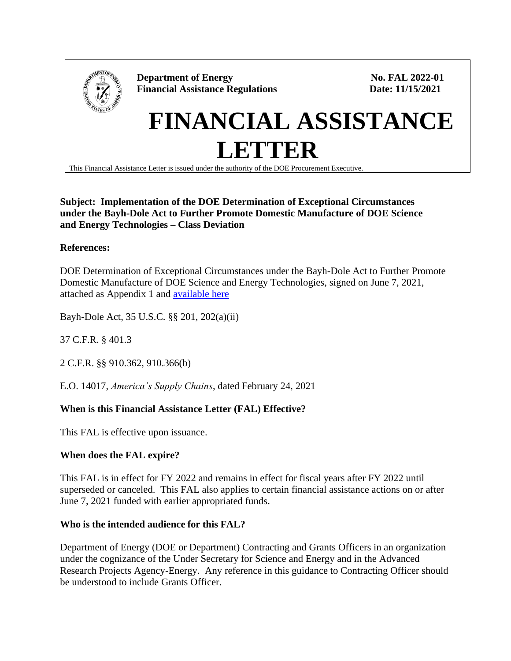

### **Subject: Implementation of the DOE Determination of Exceptional Circumstances under the Bayh-Dole Act to Further Promote Domestic Manufacture of DOE Science and Energy Technologies – Class Deviation**

# **References:**

DOE Determination of Exceptional Circumstances under the Bayh-Dole Act to Further Promote Domestic Manufacture of DOE Science and Energy Technologies, signed on June 7, 2021, attached as Appendix 1 and [available here](https://www.energy.gov/gc/determination-exceptional-circumstances-decs)

Bayh-Dole Act, 35 U.S.C. §§ 201, 202(a)(ii)

37 C.F.R. § 401.3

2 C.F.R. §§ 910.362, 910.366(b)

E.O. 14017, *America's Supply Chains*, dated February 24, 2021

## **When is this Financial Assistance Letter (FAL) Effective?**

This FAL is effective upon issuance.

## **When does the FAL expire?**

This FAL is in effect for FY 2022 and remains in effect for fiscal years after FY 2022 until superseded or canceled. This FAL also applies to certain financial assistance actions on or after June 7, 2021 funded with earlier appropriated funds.

#### **Who is the intended audience for this FAL?**

Department of Energy (DOE or Department) Contracting and Grants Officers in an organization under the cognizance of the Under Secretary for Science and Energy and in the Advanced Research Projects Agency-Energy. Any reference in this guidance to Contracting Officer should be understood to include Grants Officer.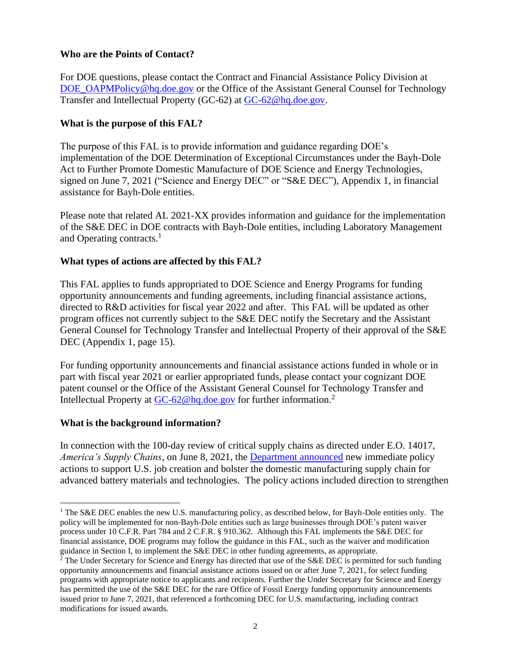### **Who are the Points of Contact?**

For DOE questions, please contact the Contract and Financial Assistance Policy Division at [DOE\\_OAPMPolicy@hq.doe.gov](mailto:DOE_OAPMPolicy@hq.doe.gov) or the Office of the Assistant General Counsel for Technology Transfer and Intellectual Property (GC-62) at [GC-62@hq.doe.gov.](mailto:GC-62@hq.doe.gov)

## **What is the purpose of this FAL?**

The purpose of this FAL is to provide information and guidance regarding DOE's implementation of the DOE Determination of Exceptional Circumstances under the Bayh-Dole Act to Further Promote Domestic Manufacture of DOE Science and Energy Technologies, signed on June 7, 2021 ("Science and Energy DEC" or "S&E DEC"), Appendix 1, in financial assistance for Bayh-Dole entities.

Please note that related AL 2021-XX provides information and guidance for the implementation of the S&E DEC in DOE contracts with Bayh-Dole entities, including Laboratory Management and Operating contracts.<sup>1</sup>

### **What types of actions are affected by this FAL?**

This FAL applies to funds appropriated to DOE Science and Energy Programs for funding opportunity announcements and funding agreements, including financial assistance actions, directed to R&D activities for fiscal year 2022 and after. This FAL will be updated as other program offices not currently subject to the S&E DEC notify the Secretary and the Assistant General Counsel for Technology Transfer and Intellectual Property of their approval of the S&E DEC (Appendix 1, page 15).

For funding opportunity announcements and financial assistance actions funded in whole or in part with fiscal year 2021 or earlier appropriated funds, please contact your cognizant DOE patent counsel or the Office of the Assistant General Counsel for Technology Transfer and Intellectual Property at [GC-62@hq.doe.gov](mailto:GC-62@hq.doe.gov) for further information.<sup>2</sup>

#### **What is the background information?**

In connection with the 100-day review of critical supply chains as directed under E.O. 14017, *America's Supply Chains*, on June 8, 2021, the [Department announced](https://www.energy.gov/articles/doe-announces-actions-bolster-domestic-supply-chain-advanced-batteries) new immediate policy actions to support U.S. job creation and bolster the domestic manufacturing supply chain for advanced battery materials and technologies. The policy actions included direction to strengthen

<sup>&</sup>lt;sup>1</sup> The S&E DEC enables the new U.S. manufacturing policy, as described below, for Bayh-Dole entities only. The policy will be implemented for non-Bayh-Dole entities such as large businesses through DOE's patent waiver process under 10 C.F.R. Part 784 and 2 C.F.R. § 910.362. Although this FAL implements the S&E DEC for financial assistance, DOE programs may follow the guidance in this FAL, such as the waiver and modification guidance in Section I, to implement the S&E DEC in other funding agreements, as appropriate.

<sup>&</sup>lt;sup>2</sup> The Under Secretary for Science and Energy has directed that use of the S&E DEC is permitted for such funding opportunity announcements and financial assistance actions issued on or after June 7, 2021, for select funding programs with appropriate notice to applicants and recipients. Further the Under Secretary for Science and Energy has permitted the use of the S&E DEC for the rare Office of Fossil Energy funding opportunity announcements issued prior to June 7, 2021, that referenced a forthcoming DEC for U.S. manufacturing, including contract modifications for issued awards.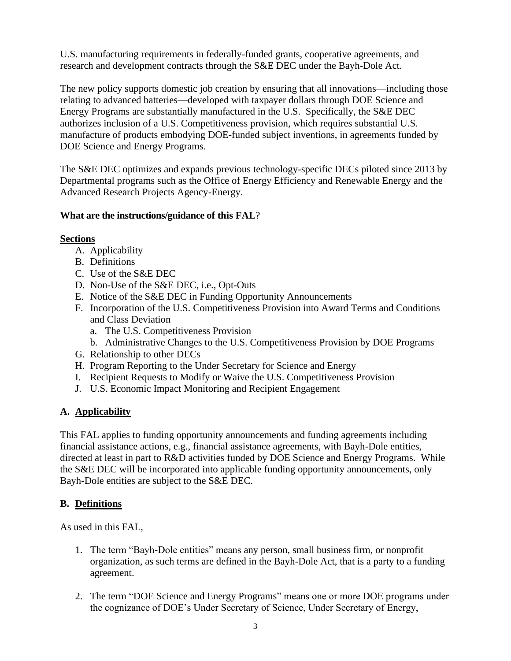U.S. manufacturing requirements in federally-funded grants, cooperative agreements, and research and development contracts through the S&E DEC under the Bayh-Dole Act.

The new policy supports domestic job creation by ensuring that all innovations—including those relating to advanced batteries—developed with taxpayer dollars through DOE Science and Energy Programs are substantially manufactured in the U.S. Specifically, the S&E DEC authorizes inclusion of a U.S. Competitiveness provision, which requires substantial U.S. manufacture of products embodying DOE-funded subject inventions, in agreements funded by DOE Science and Energy Programs.

The S&E DEC optimizes and expands previous technology-specific DECs piloted since 2013 by Departmental programs such as the Office of Energy Efficiency and Renewable Energy and the Advanced Research Projects Agency-Energy.

## **What are the instructions/guidance of this FAL**?

#### **Sections**

- A. Applicability
- B. Definitions
- C. Use of the S&E DEC
- D. Non-Use of the S&E DEC, i.e., Opt-Outs
- E. Notice of the S&E DEC in Funding Opportunity Announcements
- F. Incorporation of the U.S. Competitiveness Provision into Award Terms and Conditions and Class Deviation
	- a. The U.S. Competitiveness Provision
	- b. Administrative Changes to the U.S. Competitiveness Provision by DOE Programs
- G. Relationship to other DECs
- H. Program Reporting to the Under Secretary for Science and Energy
- I. Recipient Requests to Modify or Waive the U.S. Competitiveness Provision
- J. U.S. Economic Impact Monitoring and Recipient Engagement

## **A. Applicability**

This FAL applies to funding opportunity announcements and funding agreements including financial assistance actions, e.g., financial assistance agreements, with Bayh-Dole entities, directed at least in part to R&D activities funded by DOE Science and Energy Programs. While the S&E DEC will be incorporated into applicable funding opportunity announcements, only Bayh-Dole entities are subject to the S&E DEC.

#### **B. Definitions**

As used in this FAL,

- 1. The term "Bayh-Dole entities" means any person, small business firm, or nonprofit organization, as such terms are defined in the Bayh-Dole Act, that is a party to a funding agreement.
- 2. The term "DOE Science and Energy Programs" means one or more DOE programs under the cognizance of DOE's Under Secretary of Science, Under Secretary of Energy,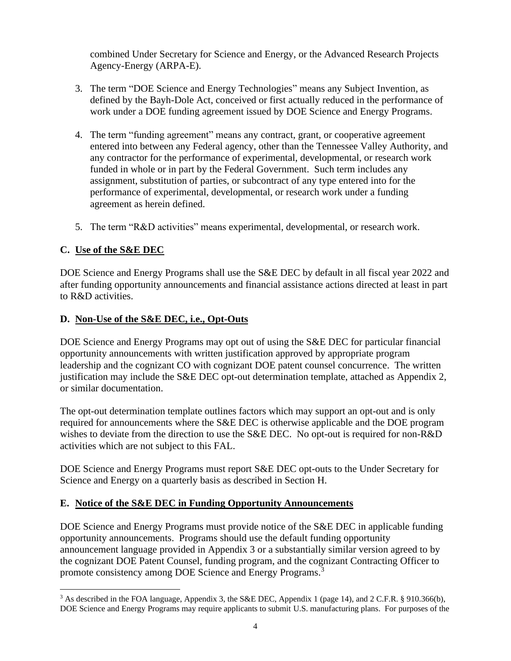combined Under Secretary for Science and Energy, or the Advanced Research Projects Agency-Energy (ARPA-E).

- 3. The term "DOE Science and Energy Technologies" means any Subject Invention, as defined by the Bayh-Dole Act, conceived or first actually reduced in the performance of work under a DOE funding agreement issued by DOE Science and Energy Programs.
- 4. The term "funding agreement" means any contract, grant, or cooperative agreement entered into between any Federal agency, other than the Tennessee Valley Authority, and any contractor for the performance of experimental, developmental, or research work funded in whole or in part by the Federal Government. Such term includes any assignment, substitution of parties, or subcontract of any type entered into for the performance of experimental, developmental, or research work under a funding agreement as herein defined.
- 5. The term "R&D activities" means experimental, developmental, or research work.

# **C. Use of the S&E DEC**

DOE Science and Energy Programs shall use the S&E DEC by default in all fiscal year 2022 and after funding opportunity announcements and financial assistance actions directed at least in part to R&D activities.

## **D. Non-Use of the S&E DEC, i.e., Opt-Outs**

DOE Science and Energy Programs may opt out of using the S&E DEC for particular financial opportunity announcements with written justification approved by appropriate program leadership and the cognizant CO with cognizant DOE patent counsel concurrence. The written justification may include the S&E DEC opt-out determination template, attached as Appendix 2, or similar documentation.

The opt-out determination template outlines factors which may support an opt-out and is only required for announcements where the S&E DEC is otherwise applicable and the DOE program wishes to deviate from the direction to use the S&E DEC. No opt-out is required for non-R&D activities which are not subject to this FAL.

DOE Science and Energy Programs must report S&E DEC opt-outs to the Under Secretary for Science and Energy on a quarterly basis as described in Section H.

## **E. Notice of the S&E DEC in Funding Opportunity Announcements**

DOE Science and Energy Programs must provide notice of the S&E DEC in applicable funding opportunity announcements. Programs should use the default funding opportunity announcement language provided in Appendix 3 or a substantially similar version agreed to by the cognizant DOE Patent Counsel, funding program, and the cognizant Contracting Officer to promote consistency among DOE Science and Energy Programs.<sup>3</sup>

<sup>3</sup> As described in the FOA language, Appendix 3, the S&E DEC, Appendix 1 (page 14), and 2 C.F.R. § 910.366(b), DOE Science and Energy Programs may require applicants to submit U.S. manufacturing plans. For purposes of the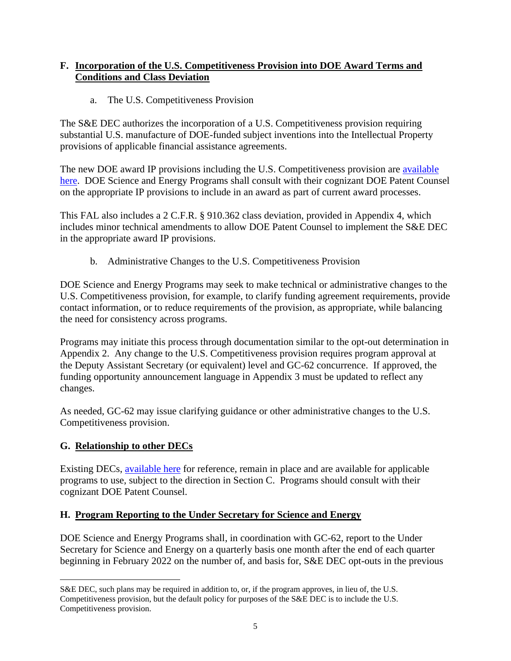## **F. Incorporation of the U.S. Competitiveness Provision into DOE Award Terms and Conditions and Class Deviation**

## a. The U.S. Competitiveness Provision

The S&E DEC authorizes the incorporation of a U.S. Competitiveness provision requiring substantial U.S. manufacture of DOE-funded subject inventions into the Intellectual Property provisions of applicable financial assistance agreements.

The new DOE award IP provisions including the U.S. Competitiveness provision are available [here.](https://www.energy.gov/gc/standard-intellectual-property-ip-provisions-financial-assistance-awards) DOE Science and Energy Programs shall consult with their cognizant DOE Patent Counsel on the appropriate IP provisions to include in an award as part of current award processes.

This FAL also includes a 2 C.F.R. § 910.362 class deviation, provided in Appendix 4, which includes minor technical amendments to allow DOE Patent Counsel to implement the S&E DEC in the appropriate award IP provisions.

b. Administrative Changes to the U.S. Competitiveness Provision

DOE Science and Energy Programs may seek to make technical or administrative changes to the U.S. Competitiveness provision, for example, to clarify funding agreement requirements, provide contact information, or to reduce requirements of the provision, as appropriate, while balancing the need for consistency across programs.

Programs may initiate this process through documentation similar to the opt-out determination in Appendix 2. Any change to the U.S. Competitiveness provision requires program approval at the Deputy Assistant Secretary (or equivalent) level and GC-62 concurrence. If approved, the funding opportunity announcement language in Appendix 3 must be updated to reflect any changes.

As needed, GC-62 may issue clarifying guidance or other administrative changes to the U.S. Competitiveness provision.

# **G. Relationship to other DECs**

Existing DECs, [available here](https://www.energy.gov/gc/determination-exceptional-circumstances-decs) for reference, remain in place and are available for applicable programs to use, subject to the direction in Section C. Programs should consult with their cognizant DOE Patent Counsel.

# **H. Program Reporting to the Under Secretary for Science and Energy**

DOE Science and Energy Programs shall, in coordination with GC-62, report to the Under Secretary for Science and Energy on a quarterly basis one month after the end of each quarter beginning in February 2022 on the number of, and basis for, S&E DEC opt-outs in the previous

S&E DEC, such plans may be required in addition to, or, if the program approves, in lieu of, the U.S. Competitiveness provision, but the default policy for purposes of the S&E DEC is to include the U.S. Competitiveness provision.